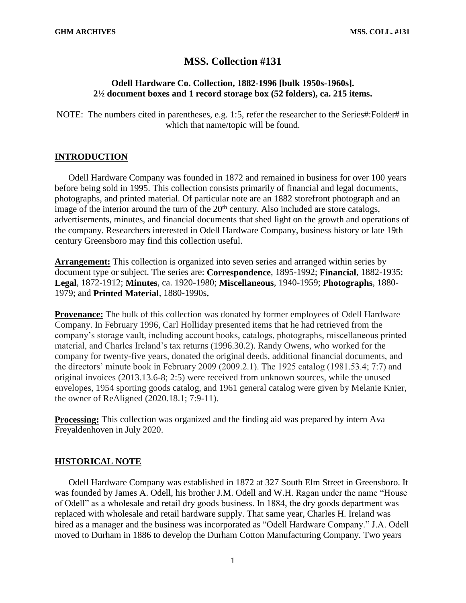# **MSS. Collection #131**

## **Odell Hardware Co. Collection, 1882-1996 [bulk 1950s-1960s]. 2½ document boxes and 1 record storage box (52 folders), ca. 215 items.**

NOTE: The numbers cited in parentheses, e.g. 1:5, refer the researcher to the Series#: Folder# in which that name/topic will be found.

## **INTRODUCTION**

Odell Hardware Company was founded in 1872 and remained in business for over 100 years before being sold in 1995. This collection consists primarily of financial and legal documents, photographs, and printed material. Of particular note are an 1882 storefront photograph and an image of the interior around the turn of the 20<sup>th</sup> century. Also included are store catalogs, advertisements, minutes, and financial documents that shed light on the growth and operations of the company. Researchers interested in Odell Hardware Company, business history or late 19th century Greensboro may find this collection useful.

**Arrangement:** This collection is organized into seven series and arranged within series by document type or subject. The series are: **Correspondence**, 1895-1992; **Financial**, 1882-1935; **Legal**, 1872-1912; **Minutes**, ca. 1920-1980; **Miscellaneous**, 1940-1959; **Photographs**, 1880- 1979; and **Printed Material**, 1880-1990s**.**

**Provenance:** The bulk of this collection was donated by former employees of Odell Hardware Company. In February 1996, Carl Holliday presented items that he had retrieved from the company's storage vault, including account books, catalogs, photographs, miscellaneous printed material, and Charles Ireland's tax returns (1996.30.2). Randy Owens, who worked for the company for twenty-five years, donated the original deeds, additional financial documents, and the directors' minute book in February 2009 (2009.2.1). The 1925 catalog (1981.53.4; 7:7) and original invoices (2013.13.6-8; 2:5) were received from unknown sources, while the unused envelopes, 1954 sporting goods catalog, and 1961 general catalog were given by Melanie Knier, the owner of ReAligned (2020.18.1; 7:9-11).

**Processing:** This collection was organized and the finding aid was prepared by intern Ava Freyaldenhoven in July 2020.

## **HISTORICAL NOTE**

Odell Hardware Company was established in 1872 at 327 South Elm Street in Greensboro. It was founded by James A. Odell, his brother J.M. Odell and W.H. Ragan under the name "House of Odell" as a wholesale and retail dry goods business. In 1884, the dry goods department was replaced with wholesale and retail hardware supply. That same year, Charles H. Ireland was hired as a manager and the business was incorporated as "Odell Hardware Company." J.A. Odell moved to Durham in 1886 to develop the Durham Cotton Manufacturing Company. Two years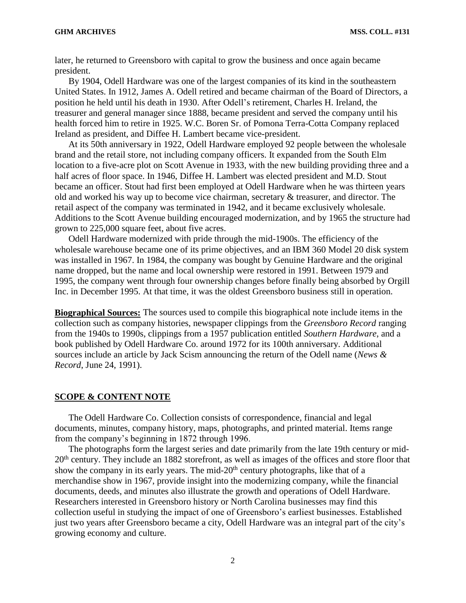later, he returned to Greensboro with capital to grow the business and once again became president.

By 1904, Odell Hardware was one of the largest companies of its kind in the southeastern United States. In 1912, James A. Odell retired and became chairman of the Board of Directors, a position he held until his death in 1930. After Odell's retirement, Charles H. Ireland, the treasurer and general manager since 1888, became president and served the company until his health forced him to retire in 1925. W.C. Boren Sr. of Pomona Terra-Cotta Company replaced Ireland as president, and Diffee H. Lambert became vice-president.

At its 50th anniversary in 1922, Odell Hardware employed 92 people between the wholesale brand and the retail store, not including company officers. It expanded from the South Elm location to a five-acre plot on Scott Avenue in 1933, with the new building providing three and a half acres of floor space. In 1946, Diffee H. Lambert was elected president and M.D. Stout became an officer. Stout had first been employed at Odell Hardware when he was thirteen years old and worked his way up to become vice chairman, secretary & treasurer, and director. The retail aspect of the company was terminated in 1942, and it became exclusively wholesale. Additions to the Scott Avenue building encouraged modernization, and by 1965 the structure had grown to 225,000 square feet, about five acres.

Odell Hardware modernized with pride through the mid-1900s. The efficiency of the wholesale warehouse became one of its prime objectives, and an IBM 360 Model 20 disk system was installed in 1967. In 1984, the company was bought by Genuine Hardware and the original name dropped, but the name and local ownership were restored in 1991. Between 1979 and 1995, the company went through four ownership changes before finally being absorbed by Orgill Inc. in December 1995. At that time, it was the oldest Greensboro business still in operation.

**Biographical Sources:** The sources used to compile this biographical note include items in the collection such as company histories, newspaper clippings from the *Greensboro Record* ranging from the 1940s to 1990s, clippings from a 1957 publication entitled *Southern Hardware*, and a book published by Odell Hardware Co. around 1972 for its 100th anniversary. Additional sources include an article by Jack Scism announcing the return of the Odell name (*News & Record*, June 24, 1991).

#### **SCOPE & CONTENT NOTE**

The Odell Hardware Co. Collection consists of correspondence, financial and legal documents, minutes, company history, maps, photographs, and printed material. Items range from the company's beginning in 1872 through 1996.

The photographs form the largest series and date primarily from the late 19th century or mid-20th century. They include an 1882 storefront, as well as images of the offices and store floor that show the company in its early years. The mid-20<sup>th</sup> century photographs, like that of a merchandise show in 1967, provide insight into the modernizing company, while the financial documents, deeds, and minutes also illustrate the growth and operations of Odell Hardware. Researchers interested in Greensboro history or North Carolina businesses may find this collection useful in studying the impact of one of Greensboro's earliest businesses. Established just two years after Greensboro became a city, Odell Hardware was an integral part of the city's growing economy and culture.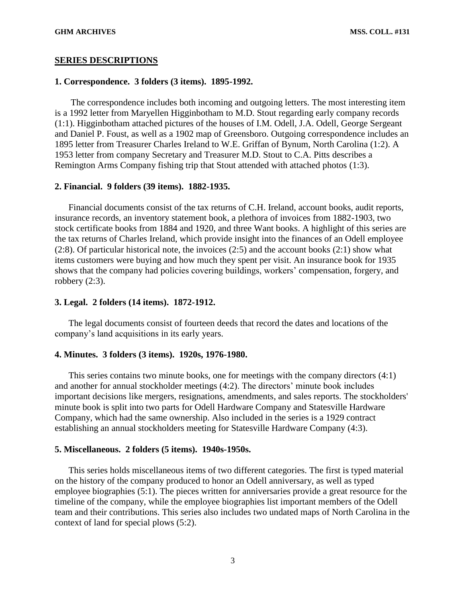#### **SERIES DESCRIPTIONS**

## **1. Correspondence. 3 folders (3 items). 1895-1992.**

The correspondence includes both incoming and outgoing letters. The most interesting item is a 1992 letter from Maryellen Higginbotham to M.D. Stout regarding early company records (1:1). Higginbotham attached pictures of the houses of I.M. Odell, J.A. Odell, George Sergeant and Daniel P. Foust, as well as a 1902 map of Greensboro. Outgoing correspondence includes an 1895 letter from Treasurer Charles Ireland to W.E. Griffan of Bynum, North Carolina (1:2). A 1953 letter from company Secretary and Treasurer M.D. Stout to C.A. Pitts describes a Remington Arms Company fishing trip that Stout attended with attached photos (1:3).

#### **2. Financial. 9 folders (39 items). 1882-1935.**

Financial documents consist of the tax returns of C.H. Ireland, account books, audit reports, insurance records, an inventory statement book, a plethora of invoices from 1882-1903, two stock certificate books from 1884 and 1920, and three Want books. A highlight of this series are the tax returns of Charles Ireland, which provide insight into the finances of an Odell employee (2:8). Of particular historical note, the invoices (2:5) and the account books (2:1) show what items customers were buying and how much they spent per visit. An insurance book for 1935 shows that the company had policies covering buildings, workers' compensation, forgery, and robbery (2:3).

## **3. Legal. 2 folders (14 items). 1872-1912.**

The legal documents consist of fourteen deeds that record the dates and locations of the company's land acquisitions in its early years.

#### **4. Minutes. 3 folders (3 items). 1920s, 1976-1980.**

This series contains two minute books, one for meetings with the company directors (4:1) and another for annual stockholder meetings (4:2). The directors' minute book includes important decisions like mergers, resignations, amendments, and sales reports. The stockholders' minute book is split into two parts for Odell Hardware Company and Statesville Hardware Company, which had the same ownership. Also included in the series is a 1929 contract establishing an annual stockholders meeting for Statesville Hardware Company (4:3).

### **5. Miscellaneous. 2 folders (5 items). 1940s-1950s.**

This series holds miscellaneous items of two different categories. The first is typed material on the history of the company produced to honor an Odell anniversary, as well as typed employee biographies (5:1). The pieces written for anniversaries provide a great resource for the timeline of the company, while the employee biographies list important members of the Odell team and their contributions. This series also includes two undated maps of North Carolina in the context of land for special plows (5:2).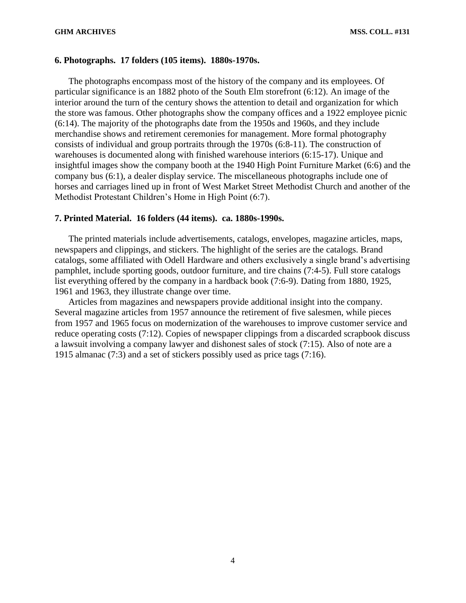### **6. Photographs. 17 folders (105 items). 1880s-1970s.**

The photographs encompass most of the history of the company and its employees. Of particular significance is an 1882 photo of the South Elm storefront (6:12). An image of the interior around the turn of the century shows the attention to detail and organization for which the store was famous. Other photographs show the company offices and a 1922 employee picnic (6:14). The majority of the photographs date from the 1950s and 1960s, and they include merchandise shows and retirement ceremonies for management. More formal photography consists of individual and group portraits through the 1970s (6:8-11). The construction of warehouses is documented along with finished warehouse interiors (6:15-17). Unique and insightful images show the company booth at the 1940 High Point Furniture Market (6:6) and the company bus (6:1), a dealer display service. The miscellaneous photographs include one of horses and carriages lined up in front of West Market Street Methodist Church and another of the Methodist Protestant Children's Home in High Point (6:7).

## **7. Printed Material. 16 folders (44 items). ca. 1880s-1990s.**

The printed materials include advertisements, catalogs, envelopes, magazine articles, maps, newspapers and clippings, and stickers. The highlight of the series are the catalogs. Brand catalogs, some affiliated with Odell Hardware and others exclusively a single brand's advertising pamphlet, include sporting goods, outdoor furniture, and tire chains (7:4-5). Full store catalogs list everything offered by the company in a hardback book (7:6-9). Dating from 1880, 1925, 1961 and 1963, they illustrate change over time.

Articles from magazines and newspapers provide additional insight into the company. Several magazine articles from 1957 announce the retirement of five salesmen, while pieces from 1957 and 1965 focus on modernization of the warehouses to improve customer service and reduce operating costs (7:12). Copies of newspaper clippings from a discarded scrapbook discuss a lawsuit involving a company lawyer and dishonest sales of stock (7:15). Also of note are a 1915 almanac (7:3) and a set of stickers possibly used as price tags (7:16).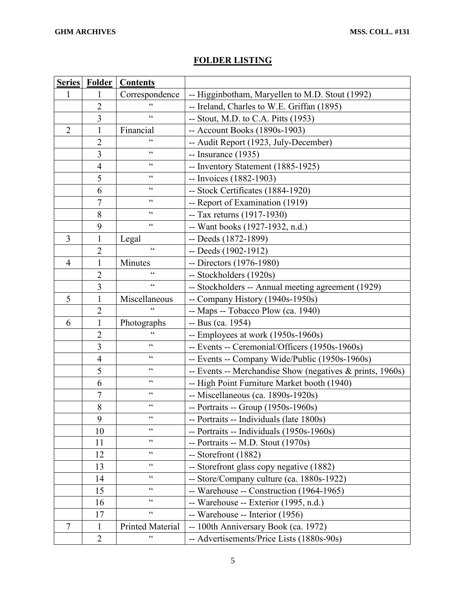## **FOLDER LISTING**

| <b>Series</b>  | <b>Folder</b>  | <b>Contents</b>                                   |                                                           |
|----------------|----------------|---------------------------------------------------|-----------------------------------------------------------|
|                |                | Correspondence                                    | -- Higginbotham, Maryellen to M.D. Stout (1992)           |
|                | $\overline{2}$ | 66                                                | -- Ireland, Charles to W.E. Griffan (1895)                |
|                | 3              | 66                                                | $-$ Stout, M.D. to C.A. Pitts (1953)                      |
| $\overline{2}$ | 1              | Financial                                         | -- Account Books (1890s-1903)                             |
|                | $\overline{2}$ | $\zeta \zeta$                                     | -- Audit Report (1923, July-December)                     |
|                | 3              | 66                                                | -- Insurance (1935)                                       |
|                | $\overline{4}$ | 66                                                | -- Inventory Statement (1885-1925)                        |
|                | 5              | 66                                                | -- Invoices (1882-1903)                                   |
|                | 6              | $\zeta \zeta$                                     | -- Stock Certificates (1884-1920)                         |
|                | 7              | 66                                                | -- Report of Examination (1919)                           |
|                | 8              | $\zeta \zeta$                                     | -- Tax returns (1917-1930)                                |
|                | 9              | $\zeta \zeta$                                     | -- Want books (1927-1932, n.d.)                           |
| 3              | 1              | Legal                                             | -- Deeds (1872-1899)                                      |
|                | 2              | $\zeta$ $\zeta$                                   | $-$ Deeds (1902-1912)                                     |
| $\overline{4}$ | 1              | Minutes                                           | -- Directors (1976-1980)                                  |
|                | $\overline{2}$ | $\zeta$ $\zeta$                                   | -- Stockholders (1920s)                                   |
|                | 3              | $\mbox{\bf G}$                                    | -- Stockholders -- Annual meeting agreement (1929)        |
| 5              | 1              | Miscellaneous                                     | -- Company History (1940s-1950s)                          |
|                | 2              |                                                   | -- Maps -- Tobacco Plow (ca. 1940)                        |
| 6              | $\mathbf{1}$   | Photographs                                       | -- Bus (ca. 1954)                                         |
|                | $\overline{2}$ |                                                   | -- Employees at work (1950s-1960s)                        |
|                | 3              | $\zeta \zeta$                                     | -- Events -- Ceremonial/Officers (1950s-1960s)            |
|                | 4              | 66                                                | -- Events -- Company Wide/Public (1950s-1960s)            |
|                | 5              | $\zeta\,\zeta$                                    | -- Events -- Merchandise Show (negatives & prints, 1960s) |
|                | 6              | 66                                                | -- High Point Furniture Market booth (1940)               |
|                | $\overline{7}$ | $\zeta \zeta$                                     | -- Miscellaneous (ca. 1890s-1920s)                        |
|                | 8              | $\,$ $\,$ $\,$ $\,$                               | -- Portraits -- Group (1950s-1960s)                       |
|                | 9              |                                                   | -- Portraits -- Individuals (late 1800s)                  |
|                | 10             | 66                                                | -- Portraits -- Individuals (1950s-1960s)                 |
|                | 11             | 66                                                | $-$ Portraits $-$ M.D. Stout (1970s)                      |
|                | 12             | 66                                                | -- Storefront (1882)                                      |
|                | 13             | $\!\!\!\zeta\,\zeta\!\!\!\zeta\!\!\!\zeta$        | -- Storefront glass copy negative (1882)                  |
|                | 14             | $\zeta \zeta$                                     | -- Store/Company culture (ca. 1880s-1922)                 |
|                | 15             | 66                                                | -- Warehouse -- Construction (1964-1965)                  |
|                | 16             | 66                                                | -- Warehouse -- Exterior (1995, n.d.)                     |
|                | 17             | $\zeta \zeta$                                     | -- Warehouse -- Interior (1956)                           |
| $\overline{7}$ | 1              | Printed Material                                  | -- 100th Anniversary Book (ca. 1972)                      |
|                | $\overline{2}$ | $\boldsymbol{\varsigma}$ $\boldsymbol{\varsigma}$ | -- Advertisements/Price Lists (1880s-90s)                 |